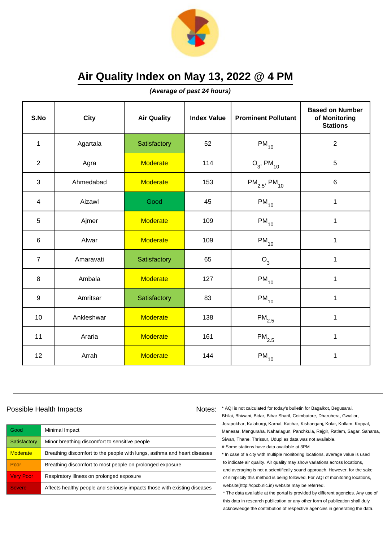

**(Average of past 24 hours)**

| S.No           | <b>City</b> | <b>Air Quality</b> | <b>Index Value</b> | <b>Prominent Pollutant</b>    | <b>Based on Number</b><br>of Monitoring<br><b>Stations</b> |
|----------------|-------------|--------------------|--------------------|-------------------------------|------------------------------------------------------------|
| $\mathbf{1}$   | Agartala    | Satisfactory       | 52                 | $PM_{10}$                     | $\sqrt{2}$                                                 |
| $\overline{2}$ | Agra        | <b>Moderate</b>    | 114                | $O_3$ , PM <sub>10</sub>      | 5                                                          |
| 3              | Ahmedabad   | <b>Moderate</b>    | 153                | $PM_{2.5}$ , PM <sub>10</sub> | 6                                                          |
| $\overline{4}$ | Aizawl      | Good               | 45                 | $PM_{10}$                     | $\mathbf 1$                                                |
| 5              | Ajmer       | <b>Moderate</b>    | 109                | $PM_{10}$                     | $\mathbf 1$                                                |
| 6              | Alwar       | <b>Moderate</b>    | 109                | $PM_{10}$                     | 1                                                          |
| $\overline{7}$ | Amaravati   | Satisfactory       | 65                 | $O_3$                         | $\mathbf{1}$                                               |
| 8              | Ambala      | <b>Moderate</b>    | 127                | $PM_{10}$                     | 1                                                          |
| 9              | Amritsar    | Satisfactory       | 83                 | $PM_{10}$                     | $\mathbf 1$                                                |
| 10             | Ankleshwar  | <b>Moderate</b>    | 138                | $PM_{2.5}$                    | 1                                                          |
| 11             | Araria      | <b>Moderate</b>    | 161                | $PM_{2.5}$                    | 1                                                          |
| 12             | Arrah       | <b>Moderate</b>    | 144                | $\mathsf{PM}_{10}$            | 1                                                          |

#### Possible Health Impacts Notes: Notes:

Good Minimal Impact Satisfactory | Minor breathing discomfort to sensitive people Moderate | Breathing discomfort to the people with lungs, asthma and heart diseases Poor Breathing discomfort to most people on prolonged exposure Very Poor Respiratory illness on prolonged exposure Severe **Affects healthy people and seriously impacts those with existing diseases** 

\* AQI is not calculated for today's bulletin for Bagalkot, Begusarai, Bhilai, Bhiwani, Bidar, Bihar Sharif, Coimbatore, Dharuhera, Gwalior, Jorapokhar, Kalaburgi, Karnal, Katihar, Kishanganj, Kolar, Kollam, Koppal, Manesar, Manguraha, Naharlagun, Panchkula, Rajgir, Ratlam, Sagar, Saharsa, Siwan, Thane, Thrissur, Udupi as data was not available. # Some stations have data available at 3PM

\* In case of a city with multiple monitoring locations, average value is used to indicate air quality. Air quality may show variations across locations, and averaging is not a scientifically sound approach. However, for the sake of simplicity this method is being followed. For AQI of monitoring locations, website(http://cpcb.nic.in) website may be referred.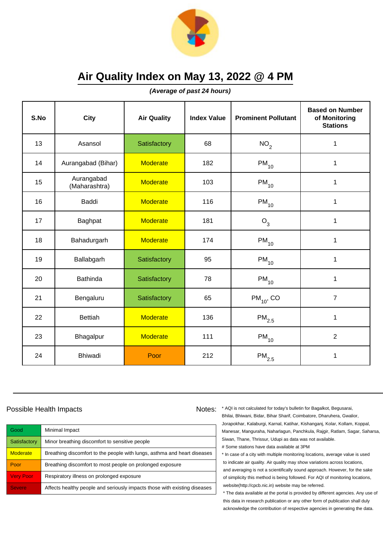

**(Average of past 24 hours)**

| S.No | <b>City</b>                 | <b>Air Quality</b> | <b>Index Value</b> | <b>Prominent Pollutant</b> | <b>Based on Number</b><br>of Monitoring<br><b>Stations</b> |
|------|-----------------------------|--------------------|--------------------|----------------------------|------------------------------------------------------------|
| 13   | Asansol                     | Satisfactory       | 68                 | NO <sub>2</sub>            | 1                                                          |
| 14   | Aurangabad (Bihar)          | <b>Moderate</b>    | 182                | $PM_{10}$                  | $\mathbf 1$                                                |
| 15   | Aurangabad<br>(Maharashtra) | <b>Moderate</b>    | 103                | $PM_{10}$                  | 1                                                          |
| 16   | Baddi                       | <b>Moderate</b>    | 116                | $PM_{10}$                  | 1                                                          |
| 17   | Baghpat                     | <b>Moderate</b>    | 181                | $O_3$                      | $\mathbf 1$                                                |
| 18   | Bahadurgarh                 | <b>Moderate</b>    | 174                | $PM_{10}$                  | 1                                                          |
| 19   | Ballabgarh                  | Satisfactory       | 95                 | $PM_{10}$                  | 1                                                          |
| 20   | <b>Bathinda</b>             | Satisfactory       | 78                 | $PM_{10}$                  | $\mathbf{1}$                                               |
| 21   | Bengaluru                   | Satisfactory       | 65                 | $PM_{10}$ , CO             | $\overline{7}$                                             |
| 22   | <b>Bettiah</b>              | <b>Moderate</b>    | 136                | $\mathsf{PM}_{2.5}$        | 1                                                          |
| 23   | Bhagalpur                   | <b>Moderate</b>    | 111                | $PM_{10}$                  | $\overline{2}$                                             |
| 24   | <b>Bhiwadi</b>              | Poor               | 212                | $\mathsf{PM}_{2.5}$        | 1                                                          |

#### Possible Health Impacts Notes: Notes:

Good Minimal Impact Satisfactory | Minor breathing discomfort to sensitive people Moderate | Breathing discomfort to the people with lungs, asthma and heart diseases Poor Breathing discomfort to most people on prolonged exposure Very Poor Respiratory illness on prolonged exposure Severe **Affects healthy people and seriously impacts those with existing diseases** 

\* AQI is not calculated for today's bulletin for Bagalkot, Begusarai, Bhilai, Bhiwani, Bidar, Bihar Sharif, Coimbatore, Dharuhera, Gwalior, Jorapokhar, Kalaburgi, Karnal, Katihar, Kishanganj, Kolar, Kollam, Koppal, Manesar, Manguraha, Naharlagun, Panchkula, Rajgir, Ratlam, Sagar, Saharsa, Siwan, Thane, Thrissur, Udupi as data was not available. # Some stations have data available at 3PM

\* In case of a city with multiple monitoring locations, average value is used to indicate air quality. Air quality may show variations across locations, and averaging is not a scientifically sound approach. However, for the sake of simplicity this method is being followed. For AQI of monitoring locations, website(http://cpcb.nic.in) website may be referred.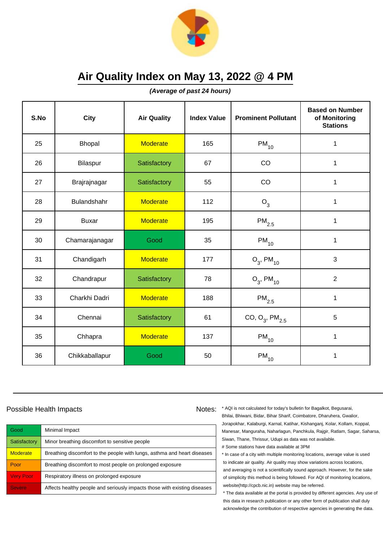

**(Average of past 24 hours)**

| S.No | <b>City</b>    | <b>Air Quality</b> | <b>Index Value</b> | <b>Prominent Pollutant</b> | <b>Based on Number</b><br>of Monitoring<br><b>Stations</b> |
|------|----------------|--------------------|--------------------|----------------------------|------------------------------------------------------------|
| 25   | Bhopal         | <b>Moderate</b>    | 165                | $PM_{10}$                  | $\mathbf 1$                                                |
| 26   | Bilaspur       | Satisfactory       | 67                 | CO                         | $\mathbf 1$                                                |
| 27   | Brajrajnagar   | Satisfactory       | 55                 | CO                         | 1                                                          |
| 28   | Bulandshahr    | <b>Moderate</b>    | 112                | $O_3$                      | $\mathbf 1$                                                |
| 29   | <b>Buxar</b>   | <b>Moderate</b>    | 195                | $\mathsf{PM}_{2.5}$        | $\mathbf{1}$                                               |
| 30   | Chamarajanagar | Good               | 35                 | $PM_{10}$                  | 1                                                          |
| 31   | Chandigarh     | <b>Moderate</b>    | 177                | $O_3$ , PM <sub>10</sub>   | 3                                                          |
| 32   | Chandrapur     | Satisfactory       | 78                 | $O_3$ , PM <sub>10</sub>   | $\overline{2}$                                             |
| 33   | Charkhi Dadri  | <b>Moderate</b>    | 188                | $\mathsf{PM}_{2.5}$        | $\mathbf 1$                                                |
| 34   | Chennai        | Satisfactory       | 61                 | CO, $O_3$ , PM $_{2.5}$    | 5                                                          |
| 35   | Chhapra        | <b>Moderate</b>    | 137                | $PM_{10}$                  | 1                                                          |
| 36   | Chikkaballapur | Good               | 50                 | $PM_{10}$                  | 1                                                          |

#### Possible Health Impacts Notes: Notes:

Good Minimal Impact Satisfactory | Minor breathing discomfort to sensitive people Moderate | Breathing discomfort to the people with lungs, asthma and heart diseases Poor Breathing discomfort to most people on prolonged exposure Very Poor Respiratory illness on prolonged exposure Severe **Affects healthy people and seriously impacts those with existing diseases** 

\* AQI is not calculated for today's bulletin for Bagalkot, Begusarai, Bhilai, Bhiwani, Bidar, Bihar Sharif, Coimbatore, Dharuhera, Gwalior, Jorapokhar, Kalaburgi, Karnal, Katihar, Kishanganj, Kolar, Kollam, Koppal, Manesar, Manguraha, Naharlagun, Panchkula, Rajgir, Ratlam, Sagar, Saharsa, Siwan, Thane, Thrissur, Udupi as data was not available. # Some stations have data available at 3PM

\* In case of a city with multiple monitoring locations, average value is used to indicate air quality. Air quality may show variations across locations, and averaging is not a scientifically sound approach. However, for the sake of simplicity this method is being followed. For AQI of monitoring locations, website(http://cpcb.nic.in) website may be referred.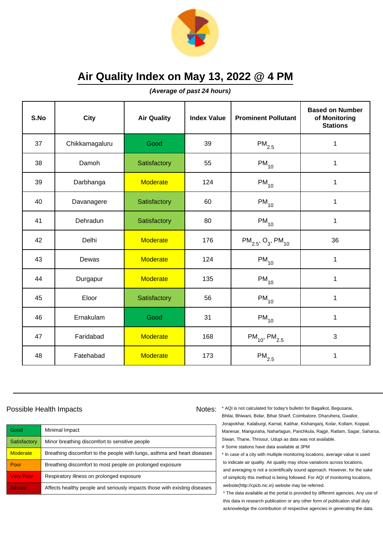

**(Average of past 24 hours)**

| S.No | <b>City</b>    | <b>Air Quality</b> | <b>Index Value</b> | <b>Prominent Pollutant</b>                     | <b>Based on Number</b><br>of Monitoring<br><b>Stations</b> |
|------|----------------|--------------------|--------------------|------------------------------------------------|------------------------------------------------------------|
| 37   | Chikkamagaluru | Good               | 39                 | $\mathsf{PM}_{2.5}$                            | $\mathbf 1$                                                |
| 38   | Damoh          | Satisfactory       | 55                 | $PM_{10}$                                      | 1                                                          |
| 39   | Darbhanga      | <b>Moderate</b>    | 124                | $PM_{10}$                                      | 1                                                          |
| 40   | Davanagere     | Satisfactory       | 60                 | $PM_{10}$                                      | $\mathbf 1$                                                |
| 41   | Dehradun       | Satisfactory       | 80                 | $\mathsf{PM}_{10}$                             | $\mathbf 1$                                                |
| 42   | Delhi          | <b>Moderate</b>    | 176                | $PM_{2.5}$ , O <sub>3</sub> , PM <sub>10</sub> | 36                                                         |
| 43   | Dewas          | <b>Moderate</b>    | 124                | $PM_{10}$                                      | $\mathbf{1}$                                               |
| 44   | Durgapur       | <b>Moderate</b>    | 135                | $PM_{10}$                                      | 1                                                          |
| 45   | Eloor          | Satisfactory       | 56                 | $PM_{10}$                                      | $\mathbf 1$                                                |
| 46   | Ernakulam      | Good               | 31                 | $PM_{10}$                                      | 1                                                          |
| 47   | Faridabad      | <b>Moderate</b>    | 168                | $PM_{10}$ , PM <sub>2.5</sub>                  | 3                                                          |
| 48   | Fatehabad      | <b>Moderate</b>    | 173                | $\mathsf{PM}_{2.5}$                            | 1                                                          |

#### Possible Health Impacts

| Good             | Minimal Impact                                                            |
|------------------|---------------------------------------------------------------------------|
| Satisfactory     | Minor breathing discomfort to sensitive people                            |
| <b>Moderate</b>  | Breathing discomfort to the people with lungs, asthma and heart diseases  |
| Poor             | Breathing discomfort to most people on prolonged exposure                 |
| <b>Very Poor</b> | Respiratory illness on prolonged exposure                                 |
| <b>Severe</b>    | Affects healthy people and seriously impacts those with existing diseases |

Notes: \* AQI is not calculated for today's bulletin for Bagalkot, Begusarai, Bhilai, Bhiwani, Bidar, Bihar Sharif, Coimbatore, Dharuhera, Gwalior, Jorapokhar, Kalaburgi, Karnal, Katihar, Kishanganj, Kolar, Kollam, Koppal, Manesar, Manguraha, Naharlagun, Panchkula, Rajgir, Ratlam, Sagar, Saharsa, Siwan, Thane, Thrissur, Udupi as data was not available. # Some stations have data available at 3PM

> \* In case of a city with multiple monitoring locations, average value is used to indicate air quality. Air quality may show variations across locations, and averaging is not a scientifically sound approach. However, for the sake of simplicity this method is being followed. For AQI of monitoring locations, website(http://cpcb.nic.in) website may be referred.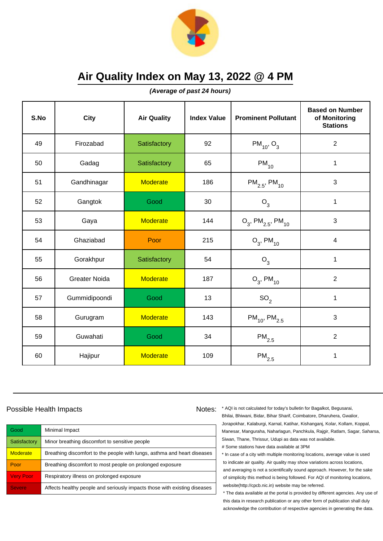

**(Average of past 24 hours)**

| S.No | <b>City</b>          | <b>Air Quality</b> | <b>Index Value</b> | <b>Prominent Pollutant</b>                   | <b>Based on Number</b><br>of Monitoring<br><b>Stations</b> |
|------|----------------------|--------------------|--------------------|----------------------------------------------|------------------------------------------------------------|
| 49   | Firozabad            | Satisfactory       | 92                 | $PM_{10}$ , O <sub>3</sub>                   | $\overline{2}$                                             |
| 50   | Gadag                | Satisfactory       | 65                 | $PM_{10}$                                    | $\mathbf 1$                                                |
| 51   | Gandhinagar          | <b>Moderate</b>    | 186                | $PM_{2.5}$ , PM <sub>10</sub>                | 3                                                          |
| 52   | Gangtok              | Good               | 30                 | O <sub>3</sub>                               | 1                                                          |
| 53   | Gaya                 | <b>Moderate</b>    | 144                | $O_3$ , PM <sub>2.5</sub> , PM <sub>10</sub> | 3                                                          |
| 54   | Ghaziabad            | Poor               | 215                | $O_3$ , PM <sub>10</sub>                     | 4                                                          |
| 55   | Gorakhpur            | Satisfactory       | 54                 | $O_3$                                        | $\mathbf{1}$                                               |
| 56   | <b>Greater Noida</b> | <b>Moderate</b>    | 187                | $O_3$ , PM <sub>10</sub>                     | $\overline{2}$                                             |
| 57   | Gummidipoondi        | Good               | 13                 | SO <sub>2</sub>                              | $\mathbf 1$                                                |
| 58   | Gurugram             | <b>Moderate</b>    | 143                | $PM_{10}$ , PM <sub>2.5</sub>                | 3                                                          |
| 59   | Guwahati             | Good               | 34                 | $\mathsf{PM}_{2.5}$                          | $\overline{2}$                                             |
| 60   | Hajipur              | <b>Moderate</b>    | 109                | $PM_{2.5}$                                   | 1                                                          |

#### Possible Health Impacts Notes: Notes:

Good Minimal Impact Satisfactory | Minor breathing discomfort to sensitive people Moderate | Breathing discomfort to the people with lungs, asthma and heart diseases Poor Breathing discomfort to most people on prolonged exposure Very Poor Respiratory illness on prolonged exposure Severe **Affects healthy people and seriously impacts those with existing diseases** 

\* AQI is not calculated for today's bulletin for Bagalkot, Begusarai, Bhilai, Bhiwani, Bidar, Bihar Sharif, Coimbatore, Dharuhera, Gwalior, Jorapokhar, Kalaburgi, Karnal, Katihar, Kishanganj, Kolar, Kollam, Koppal, Manesar, Manguraha, Naharlagun, Panchkula, Rajgir, Ratlam, Sagar, Saharsa, Siwan, Thane, Thrissur, Udupi as data was not available. # Some stations have data available at 3PM

\* In case of a city with multiple monitoring locations, average value is used to indicate air quality. Air quality may show variations across locations, and averaging is not a scientifically sound approach. However, for the sake of simplicity this method is being followed. For AQI of monitoring locations, website(http://cpcb.nic.in) website may be referred.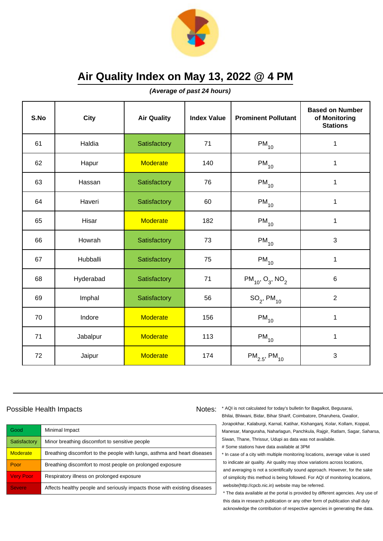

**(Average of past 24 hours)**

| S.No | <b>City</b> | <b>Air Quality</b> | <b>Index Value</b> | <b>Prominent Pollutant</b>                   | <b>Based on Number</b><br>of Monitoring<br><b>Stations</b> |
|------|-------------|--------------------|--------------------|----------------------------------------------|------------------------------------------------------------|
| 61   | Haldia      | Satisfactory       | 71                 | $PM_{10}$                                    | 1                                                          |
| 62   | Hapur       | <b>Moderate</b>    | 140                | $PM_{10}$                                    | $\mathbf 1$                                                |
| 63   | Hassan      | Satisfactory       | 76                 | $PM_{10}$                                    | 1                                                          |
| 64   | Haveri      | Satisfactory       | 60                 | $PM_{10}$                                    | 1                                                          |
| 65   | Hisar       | <b>Moderate</b>    | 182                | $PM_{10}$                                    | $\mathbf 1$                                                |
| 66   | Howrah      | Satisfactory       | 73                 | $PM_{10}$                                    | 3                                                          |
| 67   | Hubballi    | Satisfactory       | 75                 | $PM_{10}$                                    | $\mathbf{1}$                                               |
| 68   | Hyderabad   | Satisfactory       | 71                 | $PM_{10}$ , O <sub>3</sub> , NO <sub>2</sub> | 6                                                          |
| 69   | Imphal      | Satisfactory       | 56                 | $SO_2$ , PM $_{10}$                          | $\overline{2}$                                             |
| 70   | Indore      | <b>Moderate</b>    | 156                | $PM_{10}$                                    | 1                                                          |
| 71   | Jabalpur    | <b>Moderate</b>    | 113                | $PM_{10}$                                    | $\mathbf 1$                                                |
| 72   | Jaipur      | <b>Moderate</b>    | 174                | $PM_{2.5}$ , PM <sub>10</sub>                | 3                                                          |

#### Possible Health Impacts Notes: Notes:

Good Minimal Impact Satisfactory | Minor breathing discomfort to sensitive people Moderate | Breathing discomfort to the people with lungs, asthma and heart diseases Poor Breathing discomfort to most people on prolonged exposure Very Poor Respiratory illness on prolonged exposure Severe **Affects healthy people and seriously impacts those with existing diseases** 

\* AQI is not calculated for today's bulletin for Bagalkot, Begusarai, Bhilai, Bhiwani, Bidar, Bihar Sharif, Coimbatore, Dharuhera, Gwalior, Jorapokhar, Kalaburgi, Karnal, Katihar, Kishanganj, Kolar, Kollam, Koppal, Manesar, Manguraha, Naharlagun, Panchkula, Rajgir, Ratlam, Sagar, Saharsa, Siwan, Thane, Thrissur, Udupi as data was not available. # Some stations have data available at 3PM

\* In case of a city with multiple monitoring locations, average value is used to indicate air quality. Air quality may show variations across locations, and averaging is not a scientifically sound approach. However, for the sake of simplicity this method is being followed. For AQI of monitoring locations, website(http://cpcb.nic.in) website may be referred.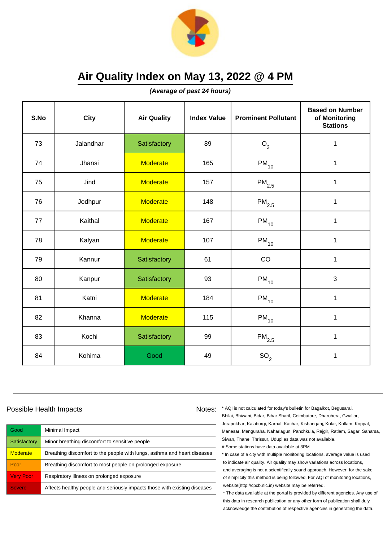

**(Average of past 24 hours)**

| S.No | <b>City</b> | <b>Air Quality</b> | <b>Index Value</b> | <b>Prominent Pollutant</b> | <b>Based on Number</b><br>of Monitoring<br><b>Stations</b> |
|------|-------------|--------------------|--------------------|----------------------------|------------------------------------------------------------|
| 73   | Jalandhar   | Satisfactory       | 89                 | $O_3$                      | $\mathbf 1$                                                |
| 74   | Jhansi      | <b>Moderate</b>    | 165                | $PM_{10}$                  | $\mathbf 1$                                                |
| 75   | Jind        | <b>Moderate</b>    | 157                | $\mathsf{PM}_{2.5}$        | 1                                                          |
| 76   | Jodhpur     | <b>Moderate</b>    | 148                | $PM_{2.5}$                 | $\mathbf{1}$                                               |
| 77   | Kaithal     | <b>Moderate</b>    | 167                | $PM_{10}$                  | $\mathbf 1$                                                |
| 78   | Kalyan      | <b>Moderate</b>    | 107                | $\mathsf{PM}_{10}$         | $\mathbf 1$                                                |
| 79   | Kannur      | Satisfactory       | 61                 | CO                         | $\mathbf 1$                                                |
| 80   | Kanpur      | Satisfactory       | 93                 | $PM_{10}$                  | 3                                                          |
| 81   | Katni       | <b>Moderate</b>    | 184                | $PM_{10}$                  | $\mathbf 1$                                                |
| 82   | Khanna      | <b>Moderate</b>    | 115                | $\mathsf{PM}_{10}$         | $\mathbf 1$                                                |
| 83   | Kochi       | Satisfactory       | 99                 | $\mathsf{PM}_{2.5}$        | $\mathbf{1}$                                               |
| 84   | Kohima      | Good               | 49                 | SO <sub>2</sub>            | $\mathbf 1$                                                |

#### Possible Health Impacts Notes: Notes:

Good Minimal Impact Satisfactory | Minor breathing discomfort to sensitive people Moderate | Breathing discomfort to the people with lungs, asthma and heart diseases Poor Breathing discomfort to most people on prolonged exposure Very Poor Respiratory illness on prolonged exposure Severe **Affects healthy people and seriously impacts those with existing diseases** 

\* AQI is not calculated for today's bulletin for Bagalkot, Begusarai, Bhilai, Bhiwani, Bidar, Bihar Sharif, Coimbatore, Dharuhera, Gwalior, Jorapokhar, Kalaburgi, Karnal, Katihar, Kishanganj, Kolar, Kollam, Koppal, Manesar, Manguraha, Naharlagun, Panchkula, Rajgir, Ratlam, Sagar, Saharsa, Siwan, Thane, Thrissur, Udupi as data was not available. # Some stations have data available at 3PM

\* In case of a city with multiple monitoring locations, average value is used to indicate air quality. Air quality may show variations across locations, and averaging is not a scientifically sound approach. However, for the sake of simplicity this method is being followed. For AQI of monitoring locations, website(http://cpcb.nic.in) website may be referred.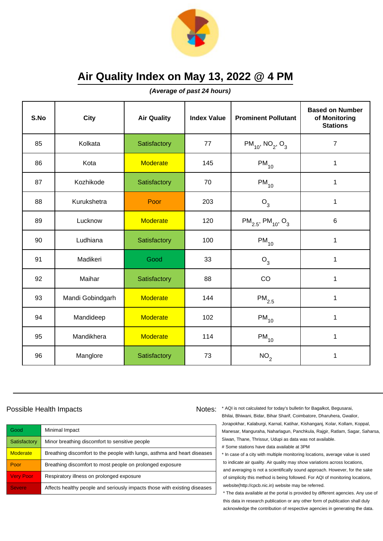

**(Average of past 24 hours)**

| S.No | <b>City</b>      | <b>Air Quality</b> | <b>Index Value</b> | <b>Prominent Pollutant</b>                     | <b>Based on Number</b><br>of Monitoring<br><b>Stations</b> |
|------|------------------|--------------------|--------------------|------------------------------------------------|------------------------------------------------------------|
| 85   | Kolkata          | Satisfactory       | 77                 | $PM_{10}$ , NO <sub>2</sub> , O <sub>3</sub>   | $\overline{7}$                                             |
| 86   | Kota             | <b>Moderate</b>    | 145                | $PM_{10}$                                      | $\mathbf 1$                                                |
| 87   | Kozhikode        | Satisfactory       | 70                 | $\mathsf{PM}_{10}$                             | 1                                                          |
| 88   | Kurukshetra      | Poor               | 203                | $O_3$                                          | 1                                                          |
| 89   | Lucknow          | <b>Moderate</b>    | 120                | $PM_{2.5}$ , PM <sub>10</sub> , O <sub>3</sub> | 6                                                          |
| 90   | Ludhiana         | Satisfactory       | 100                | $PM_{10}$                                      | 1                                                          |
| 91   | Madikeri         | Good               | 33                 | $O_3$                                          | 1                                                          |
| 92   | Maihar           | Satisfactory       | 88                 | CO                                             | 1                                                          |
| 93   | Mandi Gobindgarh | <b>Moderate</b>    | 144                | $PM_{2.5}$                                     | $\mathbf 1$                                                |
| 94   | Mandideep        | <b>Moderate</b>    | 102                | $PM_{10}$                                      | 1                                                          |
| 95   | Mandikhera       | <b>Moderate</b>    | 114                | $PM_{10}$                                      | 1                                                          |
| 96   | Manglore         | Satisfactory       | 73                 | NO <sub>2</sub>                                | $\mathbf 1$                                                |

#### Possible Health Impacts Notes: Notes:

Good Minimal Impact Satisfactory | Minor breathing discomfort to sensitive people Moderate | Breathing discomfort to the people with lungs, asthma and heart diseases Poor Breathing discomfort to most people on prolonged exposure Very Poor Respiratory illness on prolonged exposure Severe **Affects healthy people and seriously impacts those with existing diseases** 

\* AQI is not calculated for today's bulletin for Bagalkot, Begusarai, Bhilai, Bhiwani, Bidar, Bihar Sharif, Coimbatore, Dharuhera, Gwalior, Jorapokhar, Kalaburgi, Karnal, Katihar, Kishanganj, Kolar, Kollam, Koppal, Manesar, Manguraha, Naharlagun, Panchkula, Rajgir, Ratlam, Sagar, Saharsa, Siwan, Thane, Thrissur, Udupi as data was not available. # Some stations have data available at 3PM

\* In case of a city with multiple monitoring locations, average value is used to indicate air quality. Air quality may show variations across locations, and averaging is not a scientifically sound approach. However, for the sake of simplicity this method is being followed. For AQI of monitoring locations, website(http://cpcb.nic.in) website may be referred.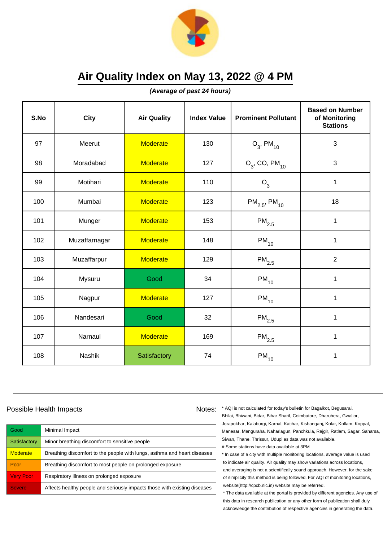

**(Average of past 24 hours)**

| S.No | <b>City</b>   | <b>Air Quality</b> | <b>Index Value</b> | <b>Prominent Pollutant</b>    | <b>Based on Number</b><br>of Monitoring<br><b>Stations</b> |
|------|---------------|--------------------|--------------------|-------------------------------|------------------------------------------------------------|
| 97   | Meerut        | <b>Moderate</b>    | 130                | $O_3$ , PM <sub>10</sub>      | 3                                                          |
| 98   | Moradabad     | <b>Moderate</b>    | 127                | $O_3$ , CO, PM <sub>10</sub>  | 3                                                          |
| 99   | Motihari      | <b>Moderate</b>    | 110                | $O_3$                         | $\mathbf 1$                                                |
| 100  | Mumbai        | <b>Moderate</b>    | 123                | $PM_{2.5}$ , PM <sub>10</sub> | 18                                                         |
| 101  | Munger        | <b>Moderate</b>    | 153                | $\mathsf{PM}_{2.5}$           | $\mathbf{1}$                                               |
| 102  | Muzaffarnagar | <b>Moderate</b>    | 148                | $PM_{10}$                     | 1                                                          |
| 103  | Muzaffarpur   | <b>Moderate</b>    | 129                | $\mathsf{PM}_{2.5}$           | $\overline{2}$                                             |
| 104  | Mysuru        | Good               | 34                 | $PM_{10}$                     | $\mathbf{1}$                                               |
| 105  | Nagpur        | <b>Moderate</b>    | 127                | $PM_{10}$                     | $\mathbf 1$                                                |
| 106  | Nandesari     | Good               | 32                 | $\mathsf{PM}_{2.5}$           | 1                                                          |
| 107  | Narnaul       | <b>Moderate</b>    | 169                | $PM_{2.5}$                    | 1                                                          |
| 108  | Nashik        | Satisfactory       | 74                 | $PM_{10}$                     | 1                                                          |

#### Possible Health Impacts

| Good             | Minimal Impact                                                            |
|------------------|---------------------------------------------------------------------------|
| Satisfactory     | Minor breathing discomfort to sensitive people                            |
| <b>Moderate</b>  | Breathing discomfort to the people with lungs, asthma and heart diseases  |
| Poor             | Breathing discomfort to most people on prolonged exposure                 |
| <b>Very Poor</b> | Respiratory illness on prolonged exposure                                 |
| <b>Severe</b>    | Affects healthy people and seriously impacts those with existing diseases |

Notes: \* AQI is not calculated for today's bulletin for Bagalkot, Begusarai, Bhilai, Bhiwani, Bidar, Bihar Sharif, Coimbatore, Dharuhera, Gwalior, Jorapokhar, Kalaburgi, Karnal, Katihar, Kishanganj, Kolar, Kollam, Koppal, Manesar, Manguraha, Naharlagun, Panchkula, Rajgir, Ratlam, Sagar, Saharsa, Siwan, Thane, Thrissur, Udupi as data was not available. # Some stations have data available at 3PM

> \* In case of a city with multiple monitoring locations, average value is used to indicate air quality. Air quality may show variations across locations, and averaging is not a scientifically sound approach. However, for the sake of simplicity this method is being followed. For AQI of monitoring locations, website(http://cpcb.nic.in) website may be referred.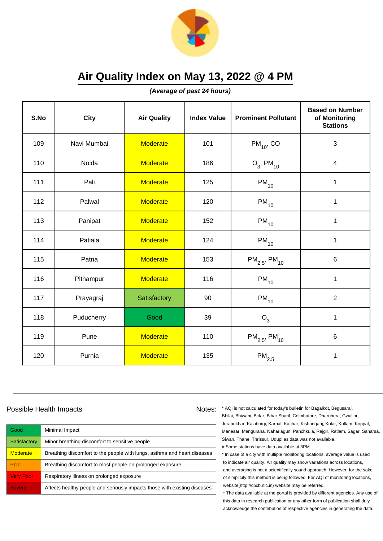

**(Average of past 24 hours)**

| S.No | City        | <b>Air Quality</b> | <b>Index Value</b> | <b>Prominent Pollutant</b>    | <b>Based on Number</b><br>of Monitoring<br><b>Stations</b> |
|------|-------------|--------------------|--------------------|-------------------------------|------------------------------------------------------------|
| 109  | Navi Mumbai | <b>Moderate</b>    | 101                | $PM_{10}$ , CO                | 3                                                          |
| 110  | Noida       | <b>Moderate</b>    | 186                | $O_3$ , PM <sub>10</sub>      | $\overline{4}$                                             |
| 111  | Pali        | <b>Moderate</b>    | 125                | $PM_{10}$                     | $\mathbf{1}$                                               |
| 112  | Palwal      | <b>Moderate</b>    | 120                | $PM_{10}$                     | $\mathbf{1}$                                               |
| 113  | Panipat     | <b>Moderate</b>    | 152                | $PM_{10}$                     | 1                                                          |
| 114  | Patiala     | <b>Moderate</b>    | 124                | $PM_{10}$                     | $\mathbf 1$                                                |
| 115  | Patna       | <b>Moderate</b>    | 153                | $PM_{2.5}$ , PM <sub>10</sub> | $\,6$                                                      |
| 116  | Pithampur   | <b>Moderate</b>    | 116                | $PM_{10}$                     | $\mathbf{1}$                                               |
| 117  | Prayagraj   | Satisfactory       | 90                 | $PM_{10}$                     | $\overline{2}$                                             |
| 118  | Puducherry  | Good               | 39                 | $O_3$                         | $\mathbf 1$                                                |
| 119  | Pune        | <b>Moderate</b>    | 110                | $PM_{2.5}$ , PM <sub>10</sub> | $\,6$                                                      |
| 120  | Purnia      | <b>Moderate</b>    | 135                | $\mathsf{PM}_{2.5}$           | 1                                                          |

#### Possible Health Impacts Notes: Notes:

Good Minimal Impact Satisfactory | Minor breathing discomfort to sensitive people Moderate **Breathing discomfort to the people with lungs**, asthma and heart diseases Poor Breathing discomfort to most people on prolonged exposure Very Poor Respiratory illness on prolonged exposure Severe **Affects healthy people and seriously impacts those with existing diseases** 

\* AQI is not calculated for today's bulletin for Bagalkot, Begusarai, Bhilai, Bhiwani, Bidar, Bihar Sharif, Coimbatore, Dharuhera, Gwalior, Jorapokhar, Kalaburgi, Karnal, Katihar, Kishanganj, Kolar, Kollam, Koppal, Manesar, Manguraha, Naharlagun, Panchkula, Rajgir, Ratlam, Sagar, Saharsa, Siwan, Thane, Thrissur, Udupi as data was not available. # Some stations have data available at 3PM

\* In case of a city with multiple monitoring locations, average value is used to indicate air quality. Air quality may show variations across locations, and averaging is not a scientifically sound approach. However, for the sake of simplicity this method is being followed. For AQI of monitoring locations, website(http://cpcb.nic.in) website may be referred.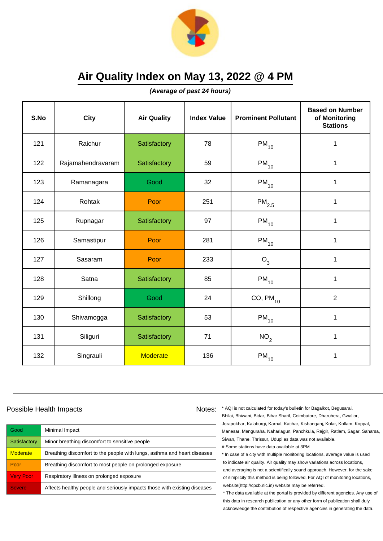

**(Average of past 24 hours)**

| S.No | <b>City</b>       | <b>Air Quality</b> | <b>Index Value</b> | <b>Prominent Pollutant</b> | <b>Based on Number</b><br>of Monitoring<br><b>Stations</b> |
|------|-------------------|--------------------|--------------------|----------------------------|------------------------------------------------------------|
| 121  | Raichur           | Satisfactory       | 78                 | $PM_{10}$                  | $\mathbf 1$                                                |
| 122  | Rajamahendravaram | Satisfactory       | 59                 | $PM_{10}$                  | $\mathbf 1$                                                |
| 123  | Ramanagara        | Good               | 32                 | $PM_{10}$                  | $\mathbf 1$                                                |
| 124  | Rohtak            | Poor               | 251                | $\mathsf{PM}_{2.5}$        | $\mathbf 1$                                                |
| 125  | Rupnagar          | Satisfactory       | 97                 | $PM_{10}$                  | $\mathbf{1}$                                               |
| 126  | Samastipur        | Poor               | 281                | $\mathsf{PM}_{10}$         | 1                                                          |
| 127  | Sasaram           | Poor               | 233                | $O_3$                      | $\mathbf{1}$                                               |
| 128  | Satna             | Satisfactory       | 85                 | $PM_{10}$                  | $\mathbf{1}$                                               |
| 129  | Shillong          | Good               | 24                 | $CO, PM_{10}$              | $\overline{2}$                                             |
| 130  | Shivamogga        | Satisfactory       | 53                 | $PM_{10}$                  | 1                                                          |
| 131  | Siliguri          | Satisfactory       | 71                 | NO <sub>2</sub>            | 1                                                          |
| 132  | Singrauli         | <b>Moderate</b>    | 136                | $PM_{10}$                  | 1                                                          |

#### Possible Health Impacts Notes: Notes:

Good Minimal Impact Satisfactory | Minor breathing discomfort to sensitive people Moderate | Breathing discomfort to the people with lungs, asthma and heart diseases Poor Breathing discomfort to most people on prolonged exposure Very Poor Respiratory illness on prolonged exposure Severe **Affects healthy people and seriously impacts those with existing diseases** 

\* AQI is not calculated for today's bulletin for Bagalkot, Begusarai, Bhilai, Bhiwani, Bidar, Bihar Sharif, Coimbatore, Dharuhera, Gwalior, Jorapokhar, Kalaburgi, Karnal, Katihar, Kishanganj, Kolar, Kollam, Koppal, Manesar, Manguraha, Naharlagun, Panchkula, Rajgir, Ratlam, Sagar, Saharsa, Siwan, Thane, Thrissur, Udupi as data was not available. # Some stations have data available at 3PM

\* In case of a city with multiple monitoring locations, average value is used to indicate air quality. Air quality may show variations across locations, and averaging is not a scientifically sound approach. However, for the sake of simplicity this method is being followed. For AQI of monitoring locations, website(http://cpcb.nic.in) website may be referred.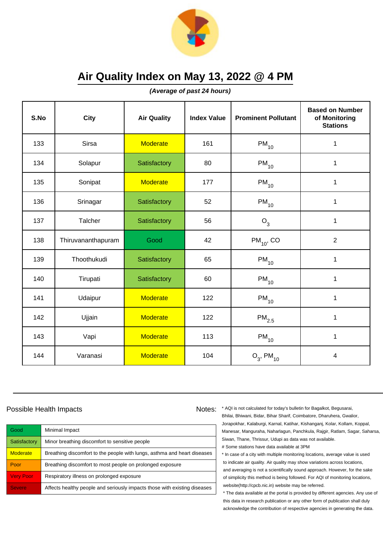

**(Average of past 24 hours)**

| S.No | <b>City</b>        | <b>Air Quality</b> | <b>Index Value</b> | <b>Prominent Pollutant</b> | <b>Based on Number</b><br>of Monitoring<br><b>Stations</b> |
|------|--------------------|--------------------|--------------------|----------------------------|------------------------------------------------------------|
| 133  | Sirsa              | <b>Moderate</b>    | 161                | $PM_{10}$                  | $\mathbf 1$                                                |
| 134  | Solapur            | Satisfactory       | 80                 | $PM_{10}$                  | $\mathbf 1$                                                |
| 135  | Sonipat            | <b>Moderate</b>    | 177                | $PM_{10}$                  | $\mathbf 1$                                                |
| 136  | Srinagar           | Satisfactory       | 52                 | $PM_{10}$                  | $\mathbf 1$                                                |
| 137  | Talcher            | Satisfactory       | 56                 | $O_3$                      | $\mathbf{1}$                                               |
| 138  | Thiruvananthapuram | Good               | 42                 | $PM_{10}$ , CO             | $\overline{2}$                                             |
| 139  | Thoothukudi        | Satisfactory       | 65                 | $PM_{10}$                  | $\mathbf{1}$                                               |
| 140  | Tirupati           | Satisfactory       | 60                 | $PM_{10}$                  | $\mathbf{1}$                                               |
| 141  | Udaipur            | <b>Moderate</b>    | 122                | $PM_{10}$                  | $\mathbf 1$                                                |
| 142  | Ujjain             | <b>Moderate</b>    | 122                | $\mathsf{PM}_{2.5}$        | 1                                                          |
| 143  | Vapi               | <b>Moderate</b>    | 113                | $PM_{10}$                  | $\mathbf{1}$                                               |
| 144  | Varanasi           | <b>Moderate</b>    | 104                | $O_3$ , PM <sub>10</sub>   | 4                                                          |

#### Possible Health Impacts

| Good             | Minimal Impact                                                            |
|------------------|---------------------------------------------------------------------------|
| Satisfactory     | Minor breathing discomfort to sensitive people                            |
| <b>Moderate</b>  | Breathing discomfort to the people with lungs, asthma and heart diseases  |
| Poor             | Breathing discomfort to most people on prolonged exposure                 |
| <b>Very Poor</b> | Respiratory illness on prolonged exposure                                 |
| <b>Severe</b>    | Affects healthy people and seriously impacts those with existing diseases |

Notes: \* AQI is not calculated for today's bulletin for Bagalkot, Begusarai, Bhilai, Bhiwani, Bidar, Bihar Sharif, Coimbatore, Dharuhera, Gwalior, Jorapokhar, Kalaburgi, Karnal, Katihar, Kishanganj, Kolar, Kollam, Koppal, Manesar, Manguraha, Naharlagun, Panchkula, Rajgir, Ratlam, Sagar, Saharsa, Siwan, Thane, Thrissur, Udupi as data was not available. # Some stations have data available at 3PM

> \* In case of a city with multiple monitoring locations, average value is used to indicate air quality. Air quality may show variations across locations, and averaging is not a scientifically sound approach. However, for the sake of simplicity this method is being followed. For AQI of monitoring locations, website(http://cpcb.nic.in) website may be referred.